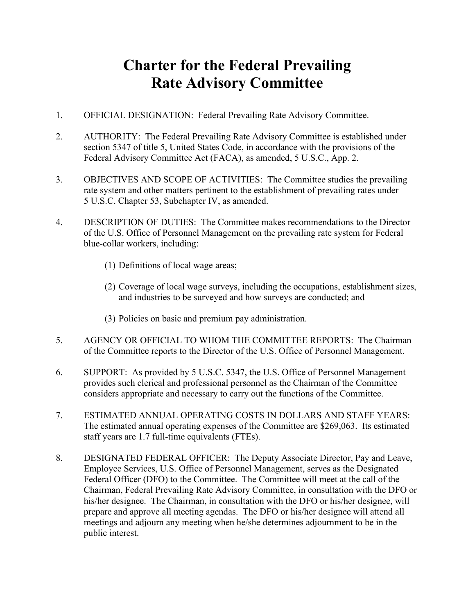## **Charter for the Federal Prevailing Rate Advisory Committee**

- 1. OFFICIAL DESIGNATION: Federal Prevailing Rate Advisory Committee.
- 2. AUTHORITY: The Federal Prevailing Rate Advisory Committee is established under section 5347 of title 5, United States Code, in accordance with the provisions of the Federal Advisory Committee Act (FACA), as amended, 5 U.S.C., App. 2.
- 3. OBJECTIVES AND SCOPE OF ACTIVITIES: The Committee studies the prevailing rate system and other matters pertinent to the establishment of prevailing rates under 5 U.S.C. Chapter 53, Subchapter IV, as amended.
- 4. DESCRIPTION OF DUTIES: The Committee makes recommendations to the Director of the U.S. Office of Personnel Management on the prevailing rate system for Federal blue-collar workers, including:
	- (1) Definitions of local wage areas;
	- (2) Coverage of local wage surveys, including the occupations, establishment sizes, and industries to be surveyed and how surveys are conducted; and
	- (3) Policies on basic and premium pay administration.
- 5. AGENCY OR OFFICIAL TO WHOM THE COMMITTEE REPORTS: The Chairman of the Committee reports to the Director of the U.S. Office of Personnel Management.
- 6. SUPPORT: As provided by 5 U.S.C. 5347, the U.S. Office of Personnel Management provides such clerical and professional personnel as the Chairman of the Committee considers appropriate and necessary to carry out the functions of the Committee.
- 7. ESTIMATED ANNUAL OPERATING COSTS IN DOLLARS AND STAFF YEARS: The estimated annual operating expenses of the Committee are \$269,063. Its estimated staff years are 1.7 full-time equivalents (FTEs).
- 8. DESIGNATED FEDERAL OFFICER: The Deputy Associate Director, Pay and Leave, Employee Services, U.S. Office of Personnel Management, serves as the Designated Federal Officer (DFO) to the Committee. The Committee will meet at the call of the Chairman, Federal Prevailing Rate Advisory Committee, in consultation with the DFO or his/her designee. The Chairman, in consultation with the DFO or his/her designee, will prepare and approve all meeting agendas. The DFO or his/her designee will attend all meetings and adjourn any meeting when he/she determines adjournment to be in the public interest.